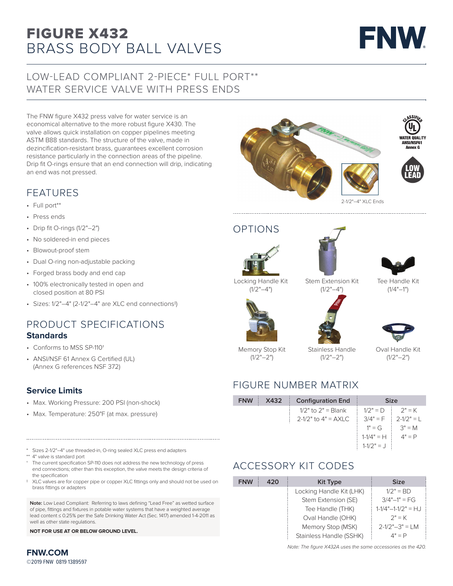# BRASS BODY BALL VALVES FIGURE X432



# LOW-LEAD COMPLIANT 2-PIECE\* FULL PORT\*\* WATER SERVICE VALVE WITH PRESS ENDS

The FNW figure X432 press valve for water service is an economical alternative to the more robust figure X430. The valve allows quick installation on copper pipelines meeting ASTM B88 standards. The structure of the valve, made in dezincification-resistant brass, guarantees excellent corrosion resistance particularly in the connection areas of the pipeline. Drip fit O-rings ensure that an end connection will drip, indicating an end was not pressed.

## FEATURES

- Full port\*\*
- Press ends
- Drip fit O-rings (1/2"–2")
- No soldered-in end pieces
- Blowout-proof stem
- Dual O-ring non-adjustable packing
- Forged brass body and end cap
- 100% electronically tested in open and closed position at 80 PSI
- Sizes: 1/2"–4" (2-1/2"–4" are XLC end connections‡)

### PRODUCT SPECIFICATIONS **Standards**

- Conforms to MSS SP-110†
- ANSI/NSF 61 Annex G Certified (UL) (Annex G references NSF 372)

#### **Service Limits**

- Max. Working Pressure: 200 PSI (non-shock)
- Max. Temperature: 250°F (at max. pressure)

Sizes 2-1/2"-4" use threaded-in, O-ring sealed XLC press end adapters

- 4" valve is standard port
- † The current specification SP-110 does not address the new technology of press end connections; other than this exception, the valve meets the design criteria of the specification
- ‡ XLC valves are for copper pipe or copper XLC fittings only and should not be used on brass fittings or adapters

**Note:** Low Lead Compliant: Referring to laws defining "Lead Free" as wetted surface of pipe, fittings and fixtures in potable water systems that have a weighted average lead content ≤ 0.25% per the Safe Drinking Water Act (Sec. 1417) amended 1-4-2011 as well as other state regulations.

**NOT FOR USE AT OR BELOW GROUND LEVEL.**



OPTIONS



 $(1/2" - 4")$ 





Stem Extension Kit  $(1/2" - 4")$ 









Memory Stop Kit  $(1/2" - 2")$ 

Stainless Handle  $(1/2" - 2")$ 

Oval Handle Kit  $(1/2" - 2")$ 

# FIGURE NUMBER MATRIX

| <b>FNW</b> | X432 | <b>Configuration End</b> | <b>Size</b>    |                         |  |  |
|------------|------|--------------------------|----------------|-------------------------|--|--|
|            |      | 1/2" to $2" =$ Blank     | $1/2" = D$     | $2" = K$                |  |  |
|            |      | 2-1/2" to $4" = AXLC$    |                | $3/4" = F$ : 2-1/2" = 1 |  |  |
|            |      |                          | $1" = G$       | $3" = M$                |  |  |
|            |      |                          | $1-1/4" = H$   | $4" = P$                |  |  |
|            |      |                          | $1 - 1/2" = J$ |                         |  |  |

# ACCESSORY KIT CODES

| <b>FNW</b> | 420 | <b>Kit Type</b>          | <b>Size</b>                   |  |  |
|------------|-----|--------------------------|-------------------------------|--|--|
|            |     | Locking Handle Kit (LHK) | $1/2" = BD$                   |  |  |
|            |     | Stem Extension (SE)      | $3/4" - 1" = FG$              |  |  |
|            |     | Tee Handle (THK)         | $1 - 1/4$ " $-1 - 1/2$ " = HJ |  |  |
|            |     | Oval Handle (OHK)        | $2" = K$                      |  |  |
|            |     | Memory Stop (MSK)        | $2 - 1/2" - 3" = LM$          |  |  |
|            |     | Stainless Handle (SSHK)  | $4" = P$                      |  |  |

*Note: The figure X432A uses the same accessories as the 420.* 

**FNW.COM** ©2019 FNW 0819 1389597